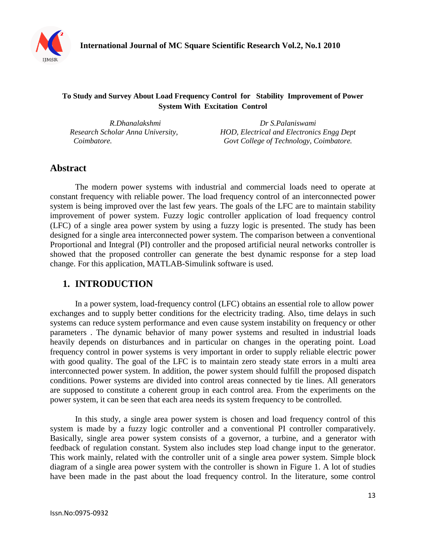

### **To Study and Survey About Load Frequency Control for Stability Improvement of Power System With Excitation Control**

*R.Dhanalakshmi Dr S.Palaniswami Research Scholar Anna University, HOD, Electrical and Electronics Engg Dept Coimbatore. Govt College of Technology, Coimbatore.*

# **Abstract**

The modern power systems with industrial and commercial loads need to operate at constant frequency with reliable power. The load frequency control of an interconnected power system is being improved over the last few years. The goals of the LFC are to maintain stability improvement of power system. Fuzzy logic controller application of load frequency control (LFC) of a single area power system by using a fuzzy logic is presented. The study has been designed for a single area interconnected power system. The comparison between a conventional Proportional and Integral (PI) controller and the proposed artificial neural networks controller is showed that the proposed controller can generate the best dynamic response for a step load change. For this application, MATLAB-Simulink software is used.

## **1. INTRODUCTION**

In a power system, load-frequency control (LFC) obtains an essential role to allow power exchanges and to supply better conditions for the electricity trading. Also, time delays in such systems can reduce system performance and even cause system instability on frequency or other parameters . The dynamic behavior of many power systems and resulted in industrial loads heavily depends on disturbances and in particular on changes in the operating point. Load frequency control in power systems is very important in order to supply reliable electric power with good quality. The goal of the LFC is to maintain zero steady state errors in a multi area interconnected power system. In addition, the power system should fulfill the proposed dispatch conditions. Power systems are divided into control areas connected by tie lines. All generators are supposed to constitute a coherent group in each control area. From the experiments on the power system, it can be seen that each area needs its system frequency to be controlled.

In this study, a single area power system is chosen and load frequency control of this system is made by a fuzzy logic controller and a conventional PI controller comparatively. Basically, single area power system consists of a governor, a turbine, and a generator with feedback of regulation constant. System also includes step load change input to the generator. This work mainly, related with the controller unit of a single area power system. Simple block diagram of a single area power system with the controller is shown in Figure 1. A lot of studies have been made in the past about the load frequency control. In the literature, some control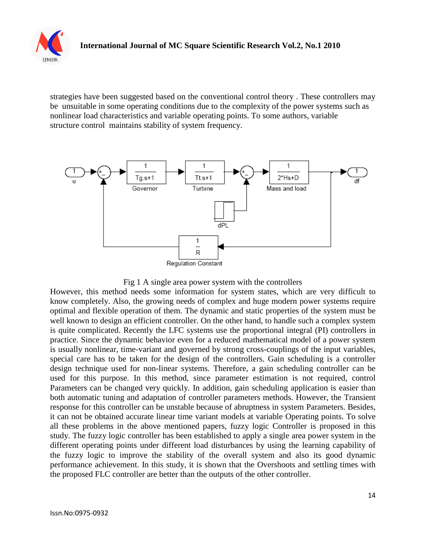

strategies have been suggested based on the conventional control theory . These controllers may be unsuitable in some operating conditions due to the complexity of the power systems such as nonlinear load characteristics and variable operating points. To some authors, variable structure control maintains stability of system frequency.



#### Fig 1 A single area power system with the controllers

However, this method needs some information for system states, which are very difficult to know completely. Also, the growing needs of complex and huge modern power systems require optimal and flexible operation of them. The dynamic and static properties of the system must be well known to design an efficient controller. On the other hand, to handle such a complex system is quite complicated. Recently the LFC systems use the proportional integral (PI) controllers in practice. Since the dynamic behavior even for a reduced mathematical model of a power system is usually nonlinear, time-variant and governed by strong cross-couplings of the input variables, special care has to be taken for the design of the controllers. Gain scheduling is a controller design technique used for non-linear systems. Therefore, a gain scheduling controller can be used for this purpose. In this method, since parameter estimation is not required, control Parameters can be changed very quickly. In addition, gain scheduling application is easier than both automatic tuning and adaptation of controller parameters methods. However, the Transient response for this controller can be unstable because of abruptness in system Parameters. Besides, it can not be obtained accurate linear time variant models at variable Operating points. To solve all these problems in the above mentioned papers, fuzzy logic Controller is proposed in this study. The fuzzy logic controller has been established to apply a single area power system in the different operating points under different load disturbances by using the learning capability of the fuzzy logic to improve the stability of the overall system and also its good dynamic performance achievement. In this study, it is shown that the Overshoots and settling times with the proposed FLC controller are better than the outputs of the other controller.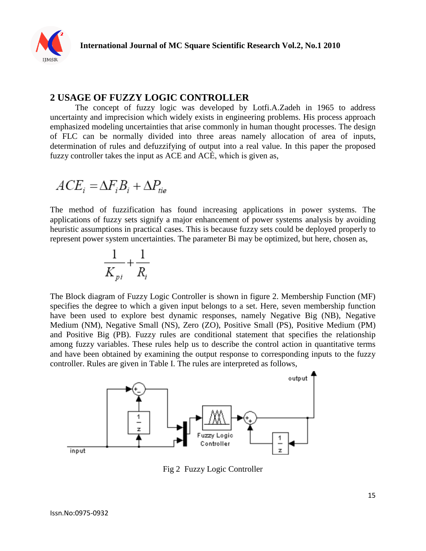

### **2 USAGE OF FUZZY LOGIC CONTROLLER**

The concept of fuzzy logic was developed by Lotfi.A.Zadeh in 1965 to address uncertainty and imprecision which widely exists in engineering problems. His process approach emphasized modeling uncertainties that arise commonly in human thought processes. The design of FLC can be normally divided into three areas namely allocation of area of inputs, determination of rules and defuzzifying of output into a real value. In this paper the proposed fuzzy controller takes the input as ACE and ACĖ, which is given as,

$$
ACE_i = \Delta F_iB_i + \Delta P_{tie}
$$

The method of fuzzification has found increasing applications in power systems. The applications of fuzzy sets signify a major enhancement of power systems analysis by avoiding heuristic assumptions in practical cases. This is because fuzzy sets could be deployed properly to represent power system uncertainties. The parameter Bi may be optimized, but here, chosen as,

$$
\frac{1}{K_{pi}} + \frac{1}{R_i}
$$

The Block diagram of Fuzzy Logic Controller is shown in figure 2. Membership Function (MF) specifies the degree to which a given input belongs to a set. Here, seven membership function have been used to explore best dynamic responses, namely Negative Big (NB), Negative Medium (NM), Negative Small (NS), Zero (ZO), Positive Small (PS), Positive Medium (PM) and Positive Big (PB). Fuzzy rules are conditional statement that specifies the relationship among fuzzy variables. These rules help us to describe the control action in quantitative terms and have been obtained by examining the output response to corresponding inputs to the fuzzy controller. Rules are given in Table I. The rules are interpreted as follows,



Fig 2 Fuzzy Logic Controller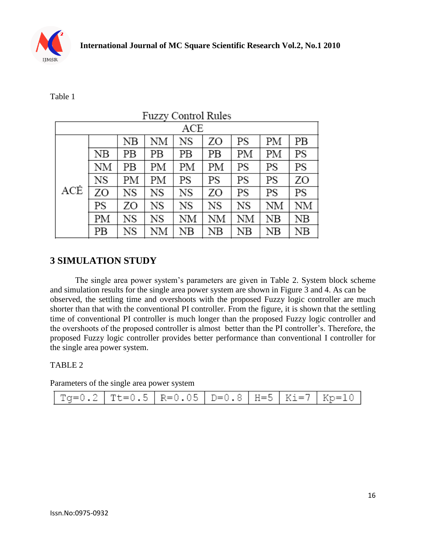

Table 1

| <b>Fuzzy Control Rules</b> |    |    |    |             |             |             |    |             |  |  |  |  |
|----------------------------|----|----|----|-------------|-------------|-------------|----|-------------|--|--|--|--|
| ACE                        |    |    |    |             |             |             |    |             |  |  |  |  |
|                            |    | NB | NΜ | NS          | ZO          | PS          | PM | PВ          |  |  |  |  |
| ACĖ                        | NB | PВ | PВ | PВ          | PВ          | PМ          | PМ | PS          |  |  |  |  |
|                            | NΜ | PВ | PМ | PМ          | PМ          | PS          | PS | PS          |  |  |  |  |
|                            | NS | PМ | PМ | PS          | PS          | PS          | PS | ZΟ          |  |  |  |  |
|                            | ZO | NS | NS | NS          | ZO          | PS          | PS | PS          |  |  |  |  |
|                            | PS | ZO | NS | NS          | NS          | NS          | ΝM | NΜ          |  |  |  |  |
|                            | PМ | NS | NS | ΝM          | ΝM          | ΝM          | NB | $_{\rm NB}$ |  |  |  |  |
|                            | PВ | NS | NΜ | $_{\rm NB}$ | $_{\rm NB}$ | $_{\rm NB}$ | NB | NB          |  |  |  |  |

# **3 SIMULATION STUDY**

The single area power system's parameters are given in Table 2. System block scheme and simulation results for the single area power system are shown in Figure 3 and 4. As can be observed, the settling time and overshoots with the proposed Fuzzy logic controller are much shorter than that with the conventional PI controller. From the figure, it is shown that the settling time of conventional PI controller is much longer than the proposed Fuzzy logic controller and the overshoots of the proposed controller is almost better than the PI controller's. Therefore, the proposed Fuzzy logic controller provides better performance than conventional I controller for the single area power system.

### TABLE 2

Parameters of the single area power system

| Tg=0.2   Tt=0.5   R=0.05   D=0.8   H=5   Ki=7   Kp=10 |  |  |  |  |  |
|-------------------------------------------------------|--|--|--|--|--|
|-------------------------------------------------------|--|--|--|--|--|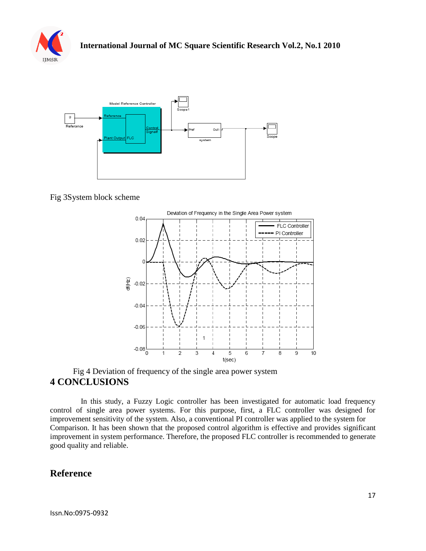



Fig 3System block scheme



### Fig 4 Deviation of frequency of the single area power system **4 CONCLUSIONS**

 In this study, a Fuzzy Logic controller has been investigated for automatic load frequency control of single area power systems. For this purpose, first, a FLC controller was designed for improvement sensitivity of the system. Also, a conventional PI controller was applied to the system for Comparison. It has been shown that the proposed control algorithm is effective and provides significant improvement in system performance. Therefore, the proposed FLC controller is recommended to generate good quality and reliable.

# **Reference**